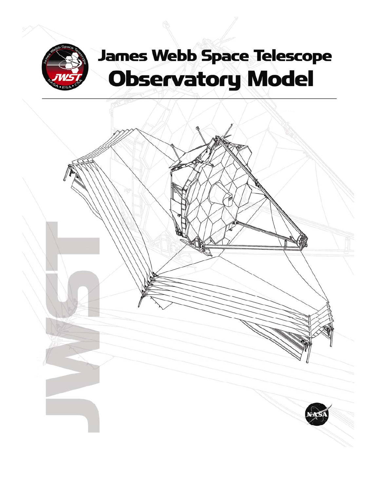

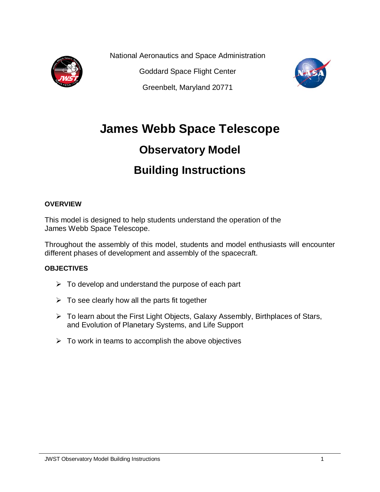

National Aeronautics and Space Administration

Goddard Space Flight Center

Greenbelt, Maryland 20771



# **James Webb Space Telescope**

# **Observatory Model**

# **Building Instructions**

#### **OVERVIEW**

This model is designed to help students understand the operation of the James Webb Space Telescope.

Throughout the assembly of this model, students and model enthusiasts will encounter different phases of development and assembly of the spacecraft.

#### **OBJECTIVES**

- $\triangleright$  To develop and understand the purpose of each part
- $\triangleright$  To see clearly how all the parts fit together
- ¾ To learn about the First Light Objects, Galaxy Assembly, Birthplaces of Stars, and Evolution of Planetary Systems, and Life Support
- $\triangleright$  To work in teams to accomplish the above objectives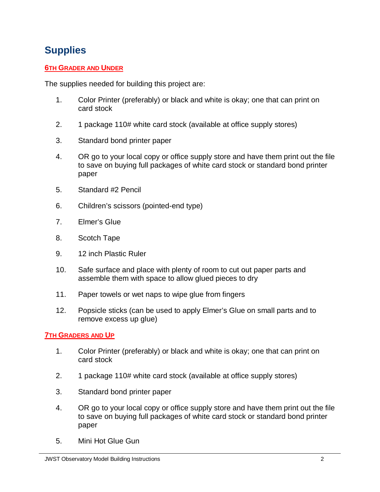## **Supplies**

#### **6TH GRADER AND UNDER**

The supplies needed for building this project are:

- 1. Color Printer (preferably) or black and white is okay; one that can print on card stock
- 2. 1 package 110# white card stock (available at office supply stores)
- 3. Standard bond printer paper
- 4. OR go to your local copy or office supply store and have them print out the file to save on buying full packages of white card stock or standard bond printer paper
- 5. Standard #2 Pencil
- 6. Children's scissors (pointed-end type)
- 7. Elmer's Glue
- 8. Scotch Tape
- 9. 12 inch Plastic Ruler
- 10. Safe surface and place with plenty of room to cut out paper parts and assemble them with space to allow glued pieces to dry
- 11. Paper towels or wet naps to wipe glue from fingers
- 12. Popsicle sticks (can be used to apply Elmer's Glue on small parts and to remove excess up glue)

#### **7TH GRADERS AND UP**

- 1. Color Printer (preferably) or black and white is okay; one that can print on card stock
- 2. 1 package 110# white card stock (available at office supply stores)
- 3. Standard bond printer paper
- 4. OR go to your local copy or office supply store and have them print out the file to save on buying full packages of white card stock or standard bond printer paper
- 5. Mini Hot Glue Gun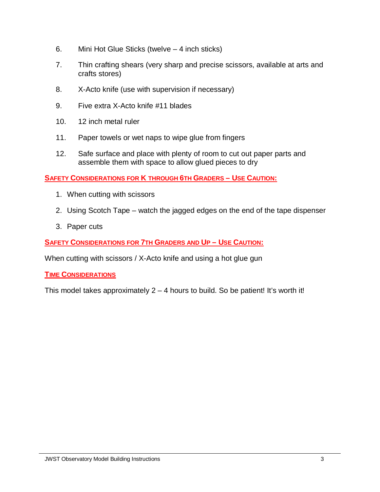- 6. Mini Hot Glue Sticks (twelve 4 inch sticks)
- 7. Thin crafting shears (very sharp and precise scissors, available at arts and crafts stores)
- 8. X-Acto knife (use with supervision if necessary)
- 9. Five extra X-Acto knife #11 blades
- 10. 12 inch metal ruler
- 11. Paper towels or wet naps to wipe glue from fingers
- 12. Safe surface and place with plenty of room to cut out paper parts and assemble them with space to allow glued pieces to dry

**SAFETY CONSIDERATIONS FOR K THROUGH 6TH GRADERS – USE CAUTION:**

- 1. When cutting with scissors
- 2. Using Scotch Tape watch the jagged edges on the end of the tape dispenser
- 3. Paper cuts

**SAFETY CONSIDERATIONS FOR 7TH GRADERS AND UP – USE CAUTION:**

When cutting with scissors / X-Acto knife and using a hot glue gun

#### **TIME CONSIDERATIONS**

This model takes approximately  $2 - 4$  hours to build. So be patient! It's worth it!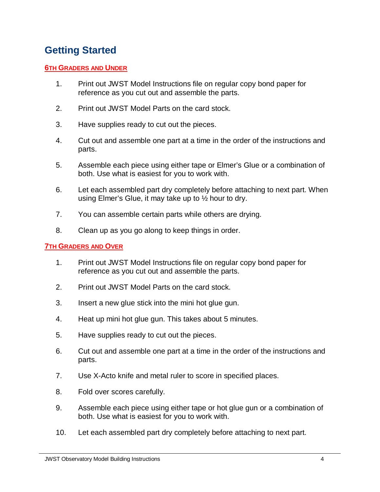### **Getting Started**

#### **6TH GRADERS AND UNDER**

- 1. Print out JWST Model Instructions file on regular copy bond paper for reference as you cut out and assemble the parts.
- 2. Print out JWST Model Parts on the card stock.
- 3. Have supplies ready to cut out the pieces.
- 4. Cut out and assemble one part at a time in the order of the instructions and parts.
- 5. Assemble each piece using either tape or Elmer's Glue or a combination of both. Use what is easiest for you to work with.
- 6. Let each assembled part dry completely before attaching to next part. When using Elmer's Glue, it may take up to ½ hour to dry.
- 7. You can assemble certain parts while others are drying.
- 8. Clean up as you go along to keep things in order.

#### **7TH GRADERS AND OVER**

- 1. Print out JWST Model Instructions file on regular copy bond paper for reference as you cut out and assemble the parts.
- 2. Print out JWST Model Parts on the card stock.
- 3. Insert a new glue stick into the mini hot glue gun.
- 4. Heat up mini hot glue gun. This takes about 5 minutes.
- 5. Have supplies ready to cut out the pieces.
- 6. Cut out and assemble one part at a time in the order of the instructions and parts.
- 7. Use X-Acto knife and metal ruler to score in specified places.
- 8. Fold over scores carefully.
- 9. Assemble each piece using either tape or hot glue gun or a combination of both. Use what is easiest for you to work with.
- 10. Let each assembled part dry completely before attaching to next part.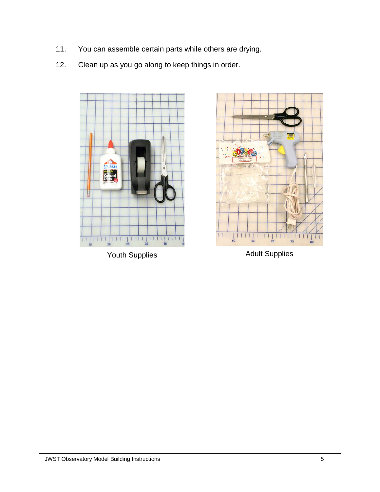- 11. You can assemble certain parts while others are drying.
- 12. Clean up as you go along to keep things in order.



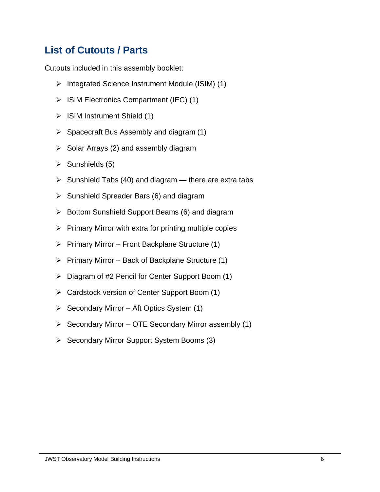## **List of Cutouts / Parts**

Cutouts included in this assembly booklet:

- ¾ Integrated Science Instrument Module (ISIM) (1)
- $\triangleright$  ISIM Electronics Compartment (IEC) (1)
- $\triangleright$  ISIM Instrument Shield (1)
- $\triangleright$  Spacecraft Bus Assembly and diagram (1)
- $\triangleright$  Solar Arrays (2) and assembly diagram
- $\triangleright$  Sunshields (5)
- $\triangleright$  Sunshield Tabs (40) and diagram there are extra tabs
- $\triangleright$  Sunshield Spreader Bars (6) and diagram
- $\triangleright$  Bottom Sunshield Support Beams (6) and diagram
- $\triangleright$  Primary Mirror with extra for printing multiple copies
- $\triangleright$  Primary Mirror Front Backplane Structure (1)
- $\triangleright$  Primary Mirror Back of Backplane Structure (1)
- ¾ Diagram of #2 Pencil for Center Support Boom (1)
- ¾ Cardstock version of Center Support Boom (1)
- $\triangleright$  Secondary Mirror Aft Optics System (1)
- $\triangleright$  Secondary Mirror OTE Secondary Mirror assembly (1)
- ¾ Secondary Mirror Support System Booms (3)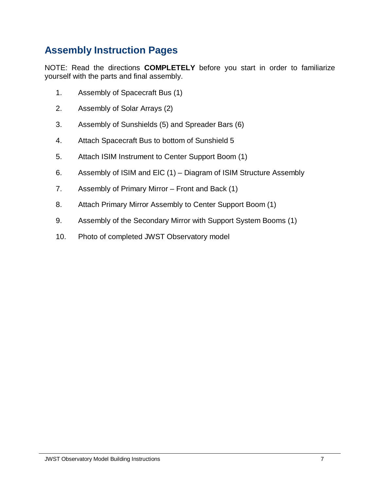### **Assembly Instruction Pages**

NOTE: Read the directions **COMPLETELY** before you start in order to familiarize yourself with the parts and final assembly.

- 1. Assembly of Spacecraft Bus (1)
- 2. Assembly of Solar Arrays (2)
- 3. Assembly of Sunshields (5) and Spreader Bars (6)
- 4. Attach Spacecraft Bus to bottom of Sunshield 5
- 5. Attach ISIM Instrument to Center Support Boom (1)
- 6. Assembly of ISIM and ElC (1) Diagram of ISIM Structure Assembly
- 7. Assembly of Primary Mirror Front and Back (1)
- 8. Attach Primary Mirror Assembly to Center Support Boom (1)
- 9. Assembly of the Secondary Mirror with Support System Booms (1)
- 10. Photo of completed JWST Observatory model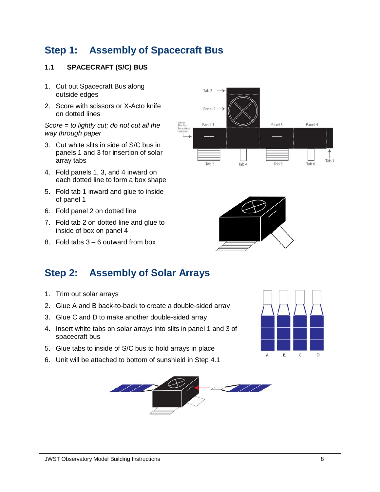### **Step 1: Assembly of Spacecraft Bus**

#### **1.1 SPACECRAFT (S/C) BUS**

- 1. Cut out Spacecraft Bus along outside edges
- 2. Score with scissors or X-Acto knife on dotted lines

*Score = to lightly cut; do not cut all the way through paper* 

- 3. Cut white slits in side of S/C bus in panels 1 and 3 for insertion of solar array tabs
- 4. Fold panels 1, 3, and 4 inward on each dotted line to form a box shape
- 5. Fold tab 1 inward and glue to inside of panel 1
- 6. Fold panel 2 on dotted line
- 7. Fold tab 2 on dotted line and glue to inside of box on panel 4
- 8. Fold tabs 3 6 outward from box

#### Tab<sub>2</sub> Panel 2 Panel 1 Panel 3 Panel 4 Tab 1 Tah 3 Tab 4 Tab<sub>5</sub> Tab 6



### **Step 2: Assembly of Solar Arrays**

- 1. Trim out solar arrays
- 2. Glue A and B back-to-back to create a double-sided array
- 3. Glue C and D to make another double-sided array
- 4. Insert white tabs on solar arrays into slits in panel 1 and 3 of spacecraft bus
- 5. Glue tabs to inside of S/C bus to hold arrays in place
- 6. Unit will be attached to bottom of sunshield in Step 4.1



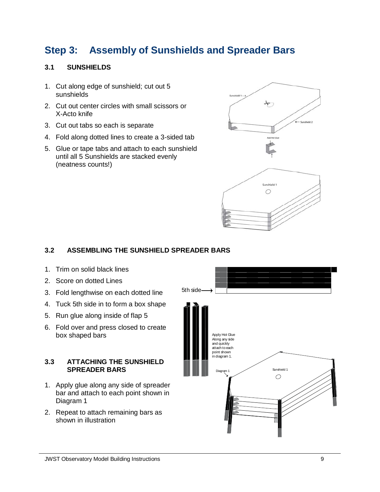## **Step 3: Assembly of Sunshields and Spreader Bars**

#### **3.1 SUNSHIELDS**

- 1. Cut along edge of sunshield; cut out 5 sunshields
- 2. Cut out center circles with small scissors or X-Acto knife
- 3. Cut out tabs so each is separate
- 4. Fold along dotted lines to create a 3-sided tab
- 5. Glue or tape tabs and attach to each sunshield until all 5 Sunshields are stacked evenly (neatness counts!)



#### **3.2 ASSEMBLING THE SUNSHIELD SPREADER BARS**

- 1. Trim on solid black lines
- 2. Score on dotted Lines
- 3. Fold lengthwise on each dotted line
- 4. Tuck 5th side in to form a box shape
- 5. Run glue along inside of flap 5
- 6. Fold over and press closed to create box shaped bars

#### **3.3 ATTACHING THE SUNSHIELD SPREADER BARS**

- 1. Apply glue along any side of spreader bar and attach to each point shown in Diagram 1
- 2. Repeat to attach remaining bars as shown in illustration

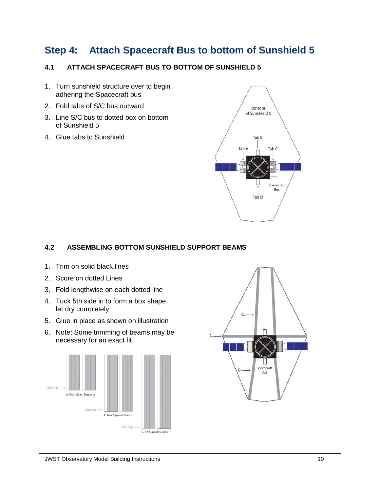### **Step 4: Attach Spacecraft Bus to bottom of Sunshield 5**

#### **4.1 ATTACH SPACECRAFT BUS TO BOTTOM OF SUNSHIELD 5**

- 1. Turn sunshield structure over to begin adhering the Spacecraft bus
- 2. Fold tabs of S/C bus outward
- 3. Line S/C bus to dotted box on bottom of Sunshield 5
- 4. Glue tabs to Sunshield



#### **4.2 ASSEMBLING BOTTOM SUNSHIELD SUPPORT BEAMS**

- 1. Trim on solid black lines
- 2. Score on dotted Lines
- 3. Fold lengthwise on each dotted line
- 4. Tuck 5th side in to form a box shape, let dry completely
- 5. Glue in place as shown on illustration
- 6. Note: Some trimming of beams may be necessary for an exact fit



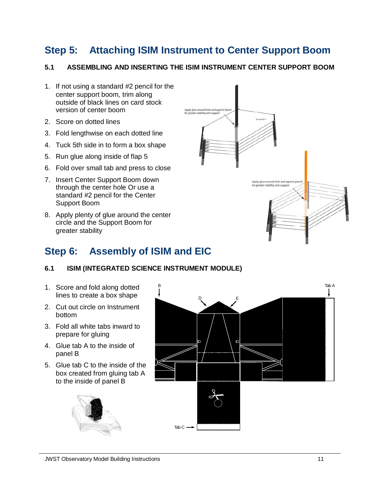## **Step 5: Attaching ISIM Instrument to Center Support Boom**

#### **5.1 ASSEMBLING AND INSERTING THE ISIM INSTRUMENT CENTER SUPPORT BOOM**

- 1. If not using a standard #2 pencil for the center support boom, trim along outside of black lines on card stock version of center boom
- 2. Score on dotted lines
- 3. Fold lengthwise on each dotted line
- 4. Tuck 5th side in to form a box shape
- 5. Run glue along inside of flap 5
- 6. Fold over small tab and press to close
- 7. Insert Center Support Boom down through the center hole Or use a standard #2 pencil for the Center Support Boom
- 8. Apply plenty of glue around the center circle and the Support Boom for greater stability

### **Step 6: Assembly of ISIM and EIC**

#### **6.1 ISIM (INTEGRATED SCIENCE INSTRUMENT MODULE)**

- 1. Score and fold along dotted lines to create a box shape
- 2. Cut out circle on Instrument bottom
- 3. Fold all white tabs inward to prepare for gluing
- 4. Glue tab A to the inside of panel B
- 5. Glue tab C to the inside of the box created from gluing tab A to the inside of panel B





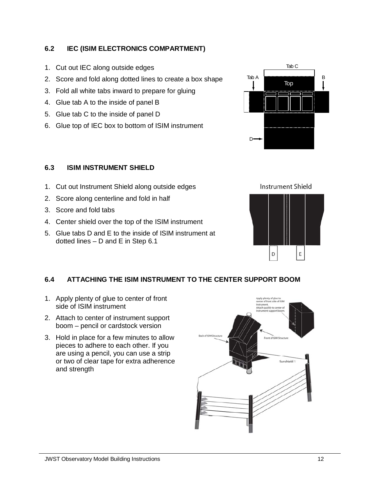**6.2 IEC (ISIM ELECTRONICS COMPARTMENT)** 

- 1. Cut out IEC along outside edges
- 2. Score and fold along dotted lines to create a box shape
- 3. Fold all white tabs inward to prepare for gluing
- 4. Glue tab A to the inside of panel B
- 5. Glue tab C to the inside of panel D
- 6. Glue top of IEC box to bottom of ISIM instrument



#### **6.3 ISIM INSTRUMENT SHIELD**

- 1. Cut out Instrument Shield along outside edges
- 2. Score along centerline and fold in half
- 3. Score and fold tabs
- 4. Center shield over the top of the ISIM instrument
- 5. Glue tabs D and E to the inside of ISIM instrument at dotted lines – D and E in Step 6.1

#### **6.4 ATTACHING THE ISIM INSTRUMENT TO THE CENTER SUPPORT BOOM**

- 1. Apply plenty of glue to center of front side of ISIM instrument
- 2. Attach to center of instrument support boom – pencil or cardstock version
- 3. Hold in place for a few minutes to allow pieces to adhere to each other. If you are using a pencil, you can use a strip or two of clear tape for extra adherence and strength





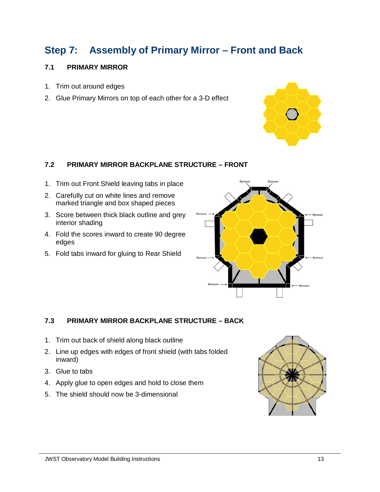## **Step 7: Assembly of Primary Mirror – Front and Back**

#### **7.1 PRIMARY MIRROR**

- 1. Trim out around edges
- 2. Glue Primary Mirrors on top of each other for a 3-D effect



#### **7.2 PRIMARY MIRROR BACKPLANE STRUCTURE – FRONT**

- 1. Trim out Front Shield leaving tabs in place
- 2. Carefully cut on white lines and remove marked triangle and box shaped pieces
- 3. Score between thick black outline and grey interior shading
- 4. Fold the scores inward to create 90 degree edges
- 5. Fold tabs inward for gluing to Rear Shield



#### **7.3 PRIMARY MIRROR BACKPLANE STRUCTURE – BACK**

- 1. Trim out back of shield along black outline
- 2. Line up edges with edges of front shield (with tabs folded inward)
- 3. Glue to tabs
- 4. Apply glue to open edges and hold to close them
- 5. The shield should now be 3-dimensional

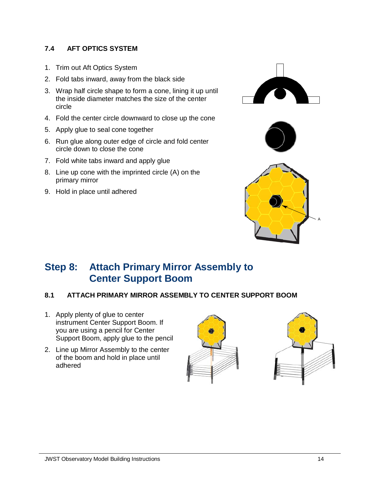#### **7.4 AFT OPTICS SYSTEM**

- 1. Trim out Aft Optics System
- 2. Fold tabs inward, away from the black side
- 3. Wrap half circle shape to form a cone, lining it up until the inside diameter matches the size of the center circle
- 4. Fold the center circle downward to close up the cone
- 5. Apply glue to seal cone together
- 6. Run glue along outer edge of circle and fold center circle down to close the cone
- 7. Fold white tabs inward and apply glue
- 8. Line up cone with the imprinted circle (A) on the primary mirror
- 9. Hold in place until adhered







### **Step 8: Attach Primary Mirror Assembly to Center Support Boom**

#### **8.1 ATTACH PRIMARY MIRROR ASSEMBLY TO CENTER SUPPORT BOOM**

- 1. Apply plenty of glue to center instrument Center Support Boom. If you are using a pencil for Center Support Boom, apply glue to the pencil
- 2. Line up Mirror Assembly to the center of the boom and hold in place until adhered



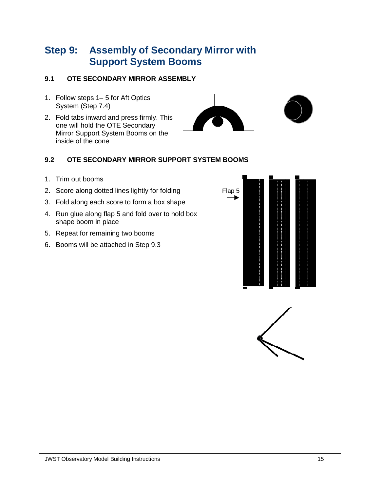### **Step 9: Assembly of Secondary Mirror with Support System Booms**

### **9.1 OTE SECONDARY MIRROR ASSEMBLY**

- 1. Follow steps 1– 5 for Aft Optics System (Step 7.4)
- 2. Fold tabs inward and press firmly. This one will hold the OTE Secondary Mirror Support System Booms on the inside of the cone



#### **9.2 OTE SECONDARY MIRROR SUPPORT SYSTEM BOOMS**

- 1. Trim out booms
- 2. Score along dotted lines lightly for folding
- 3. Fold along each score to form a box shape
- 4. Run glue along flap 5 and fold over to hold box shape boom in place
- 5. Repeat for remaining two booms
- 6. Booms will be attached in Step 9.3